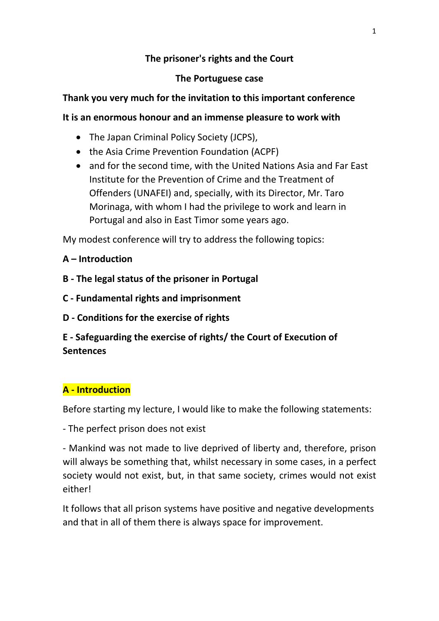### **The prisoner's rights and the Court**

#### **The Portuguese case**

### **Thank you very much for the invitation to this important conference**

#### **It is an enormous honour and an immense pleasure to work with**

- The Japan Criminal Policy Society (JCPS),
- the Asia Crime Prevention Foundation (ACPF)
- and for the second time, with the United Nations Asia and Far East Institute for the Prevention of Crime and the Treatment of Offenders (UNAFEI) and, specially, with its Director, Mr. Taro Morinaga, with whom I had the privilege to work and learn in Portugal and also in East Timor some years ago.

My modest conference will try to address the following topics:

### **A – Introduction**

- **B - The legal status of the prisoner in Portugal**
- **C - Fundamental rights and imprisonment**
- **D - Conditions for the exercise of rights**

# **E - Safeguarding the exercise of rights/ the Court of Execution of Sentences**

# **A - Introduction**

Before starting my lecture, I would like to make the following statements:

- The perfect prison does not exist

- Mankind was not made to live deprived of liberty and, therefore, prison will always be something that, whilst necessary in some cases, in a perfect society would not exist, but, in that same society, crimes would not exist either!

It follows that all prison systems have positive and negative developments and that in all of them there is always space for improvement.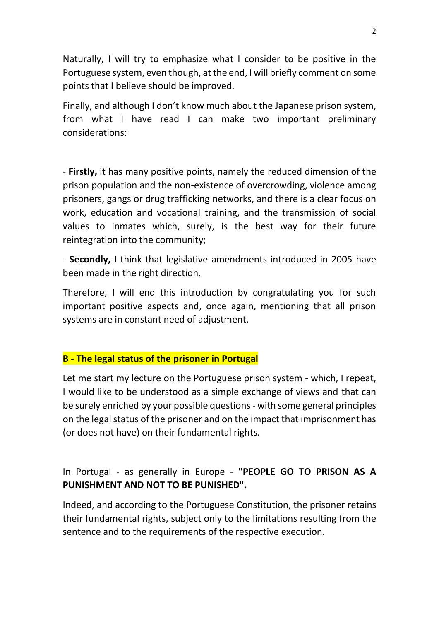Naturally, I will try to emphasize what I consider to be positive in the Portuguese system, even though, at the end, I will briefly comment on some points that I believe should be improved.

Finally, and although I don't know much about the Japanese prison system, from what I have read I can make two important preliminary considerations:

- **Firstly,** it has many positive points, namely the reduced dimension of the prison population and the non-existence of overcrowding, violence among prisoners, gangs or drug trafficking networks, and there is a clear focus on work, education and vocational training, and the transmission of social values to inmates which, surely, is the best way for their future reintegration into the community;

- **Secondly,** I think that legislative amendments introduced in 2005 have been made in the right direction.

Therefore, I will end this introduction by congratulating you for such important positive aspects and, once again, mentioning that all prison systems are in constant need of adjustment.

### **B - The legal status of the prisoner in Portugal**

Let me start my lecture on the Portuguese prison system - which, I repeat, I would like to be understood as a simple exchange of views and that can be surely enriched by your possible questions- with some general principles on the legal status of the prisoner and on the impact that imprisonment has (or does not have) on their fundamental rights.

# In Portugal - as generally in Europe - **"PEOPLE GO TO PRISON AS A PUNISHMENT AND NOT TO BE PUNISHED".**

Indeed, and according to the Portuguese Constitution, the prisoner retains their fundamental rights, subject only to the limitations resulting from the sentence and to the requirements of the respective execution.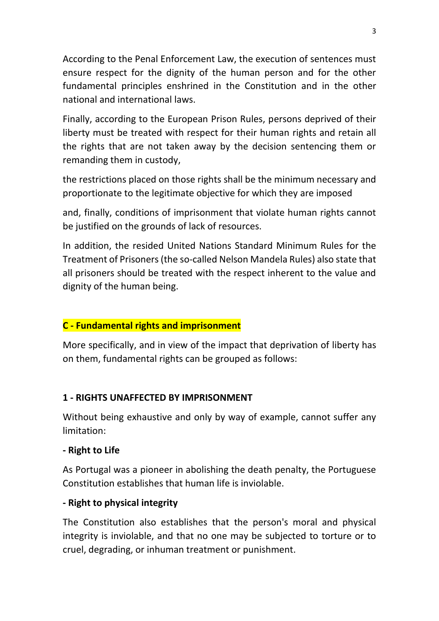According to the Penal Enforcement Law, the execution of sentences must ensure respect for the dignity of the human person and for the other fundamental principles enshrined in the Constitution and in the other national and international laws.

Finally, according to the European Prison Rules, persons deprived of their liberty must be treated with respect for their human rights and retain all the rights that are not taken away by the decision sentencing them or remanding them in custody,

the restrictions placed on those rights shall be the minimum necessary and proportionate to the legitimate objective for which they are imposed

and, finally, conditions of imprisonment that violate human rights cannot be justified on the grounds of lack of resources.

In addition, the resided United Nations Standard Minimum Rules for the Treatment of Prisoners (the so-called Nelson Mandela Rules) also state that all prisoners should be treated with the respect inherent to the value and dignity of the human being.

# **C - Fundamental rights and imprisonment**

More specifically, and in view of the impact that deprivation of liberty has on them, fundamental rights can be grouped as follows:

# **1 - RIGHTS UNAFFECTED BY IMPRISONMENT**

Without being exhaustive and only by way of example, cannot suffer any limitation:

### **- Right to Life**

As Portugal was a pioneer in abolishing the death penalty, the Portuguese Constitution establishes that human life is inviolable.

# **- Right to physical integrity**

The Constitution also establishes that the person's moral and physical integrity is inviolable, and that no one may be subjected to torture or to cruel, degrading, or inhuman treatment or punishment.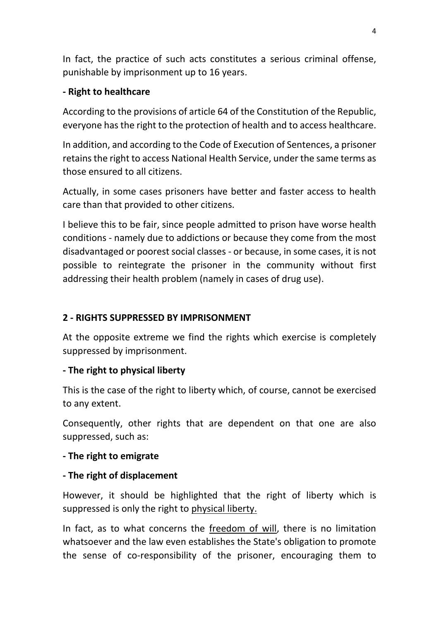In fact, the practice of such acts constitutes a serious criminal offense, punishable by imprisonment up to 16 years.

### **- Right to healthcare**

According to the provisions of article 64 of the Constitution of the Republic, everyone has the right to the protection of health and to access healthcare.

In addition, and according to the Code of Execution of Sentences, a prisoner retains the right to access National Health Service, under the same terms as those ensured to all citizens.

Actually, in some cases prisoners have better and faster access to health care than that provided to other citizens.

I believe this to be fair, since people admitted to prison have worse health conditions - namely due to addictions or because they come from the most disadvantaged or poorest social classes - or because, in some cases, it is not possible to reintegrate the prisoner in the community without first addressing their health problem (namely in cases of drug use).

# **2 - RIGHTS SUPPRESSED BY IMPRISONMENT**

At the opposite extreme we find the rights which exercise is completely suppressed by imprisonment.

### **- The right to physical liberty**

This is the case of the right to liberty which, of course, cannot be exercised to any extent.

Consequently, other rights that are dependent on that one are also suppressed, such as:

### **- The right to emigrate**

# **- The right of displacement**

However, it should be highlighted that the right of liberty which is suppressed is only the right to physical liberty.

In fact, as to what concerns the freedom of will, there is no limitation whatsoever and the law even establishes the State's obligation to promote the sense of co-responsibility of the prisoner, encouraging them to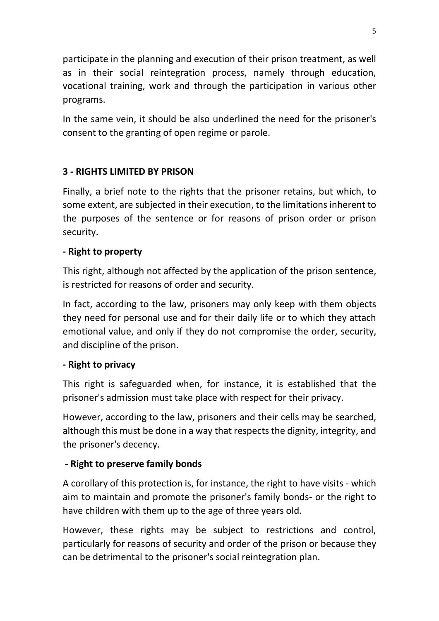participate in the planning and execution of their prison treatment, as well as in their social reintegration process, namely through education, vocational training, work and through the participation in various other programs.

In the same vein, it should be also underlined the need for the prisoner's consent to the granting of open regime or parole.

# **3 - RIGHTS LIMITED BY PRISON**

Finally, a brief note to the rights that the prisoner retains, but which, to some extent, are subjected in their execution, to the limitations inherent to the purposes of the sentence or for reasons of prison order or prison security.

### **- Right to property**

This right, although not affected by the application of the prison sentence, is restricted for reasons of order and security.

In fact, according to the law, prisoners may only keep with them objects they need for personal use and for their daily life or to which they attach emotional value, and only if they do not compromise the order, security, and discipline of the prison.

### **- Right to privacy**

This right is safeguarded when, for instance, it is established that the prisoner's admission must take place with respect for their privacy.

However, according to the law, prisoners and their cells may be searched, although this must be done in a way that respects the dignity, integrity, and the prisoner's decency.

# **- Right to preserve family bonds**

A corollary of this protection is, for instance, the right to have visits - which aim to maintain and promote the prisoner's family bonds- or the right to have children with them up to the age of three years old.

However, these rights may be subject to restrictions and control, particularly for reasons of security and order of the prison or because they can be detrimental to the prisoner's social reintegration plan.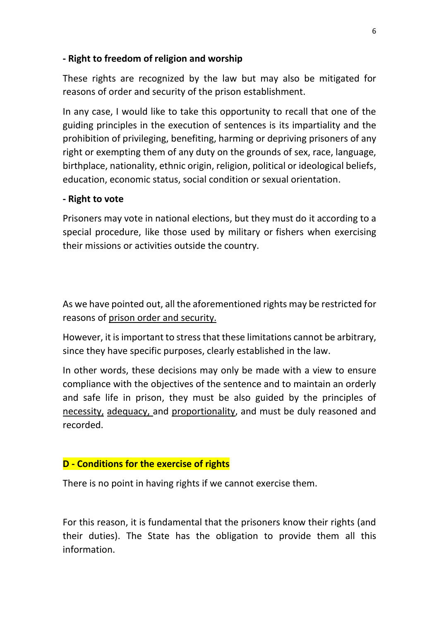#### **- Right to freedom of religion and worship**

These rights are recognized by the law but may also be mitigated for reasons of order and security of the prison establishment.

In any case, I would like to take this opportunity to recall that one of the guiding principles in the execution of sentences is its impartiality and the prohibition of privileging, benefiting, harming or depriving prisoners of any right or exempting them of any duty on the grounds of sex, race, language, birthplace, nationality, ethnic origin, religion, political or ideological beliefs, education, economic status, social condition or sexual orientation.

#### **- Right to vote**

Prisoners may vote in national elections, but they must do it according to a special procedure, like those used by military or fishers when exercising their missions or activities outside the country.

As we have pointed out, all the aforementioned rights may be restricted for reasons of prison order and security.

However, it is important to stress that these limitations cannot be arbitrary, since they have specific purposes, clearly established in the law.

In other words, these decisions may only be made with a view to ensure compliance with the objectives of the sentence and to maintain an orderly and safe life in prison, they must be also guided by the principles of necessity, adequacy, and proportionality, and must be duly reasoned and recorded.

### **D - Conditions for the exercise of rights**

There is no point in having rights if we cannot exercise them.

For this reason, it is fundamental that the prisoners know their rights (and their duties). The State has the obligation to provide them all this information.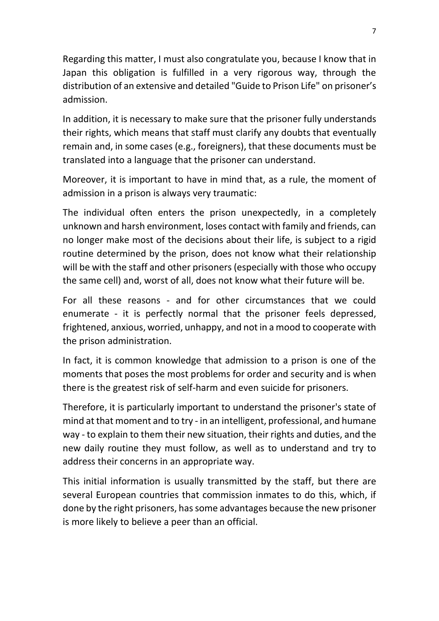Regarding this matter, I must also congratulate you, because I know that in Japan this obligation is fulfilled in a very rigorous way, through the distribution of an extensive and detailed "Guide to Prison Life" on prisoner's admission.

In addition, it is necessary to make sure that the prisoner fully understands their rights, which means that staff must clarify any doubts that eventually remain and, in some cases (e.g., foreigners), that these documents must be translated into a language that the prisoner can understand.

Moreover, it is important to have in mind that, as a rule, the moment of admission in a prison is always very traumatic:

The individual often enters the prison unexpectedly, in a completely unknown and harsh environment, loses contact with family and friends, can no longer make most of the decisions about their life, is subject to a rigid routine determined by the prison, does not know what their relationship will be with the staff and other prisoners (especially with those who occupy the same cell) and, worst of all, does not know what their future will be.

For all these reasons - and for other circumstances that we could enumerate - it is perfectly normal that the prisoner feels depressed, frightened, anxious, worried, unhappy, and not in a mood to cooperate with the prison administration.

In fact, it is common knowledge that admission to a prison is one of the moments that poses the most problems for order and security and is when there is the greatest risk of self-harm and even suicide for prisoners.

Therefore, it is particularly important to understand the prisoner's state of mind at that moment and to try - in an intelligent, professional, and humane way - to explain to them their new situation, their rights and duties, and the new daily routine they must follow, as well as to understand and try to address their concerns in an appropriate way.

This initial information is usually transmitted by the staff, but there are several European countries that commission inmates to do this, which, if done by the right prisoners, has some advantages because the new prisoner is more likely to believe a peer than an official.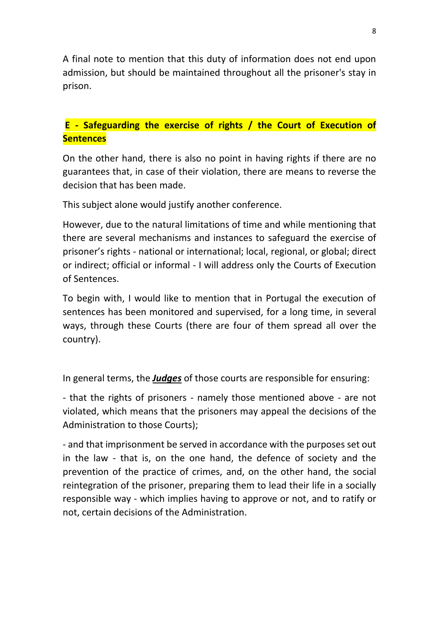A final note to mention that this duty of information does not end upon admission, but should be maintained throughout all the prisoner's stay in prison.

# **E - Safeguarding the exercise of rights / the Court of Execution of Sentences**

On the other hand, there is also no point in having rights if there are no guarantees that, in case of their violation, there are means to reverse the decision that has been made.

This subject alone would justify another conference.

However, due to the natural limitations of time and while mentioning that there are several mechanisms and instances to safeguard the exercise of prisoner's rights - national or international; local, regional, or global; direct or indirect; official or informal - I will address only the Courts of Execution of Sentences.

To begin with, I would like to mention that in Portugal the execution of sentences has been monitored and supervised, for a long time, in several ways, through these Courts (there are four of them spread all over the country).

In general terms, the *Judges* of those courts are responsible for ensuring:

- that the rights of prisoners - namely those mentioned above - are not violated, which means that the prisoners may appeal the decisions of the Administration to those Courts);

- and that imprisonment be served in accordance with the purposes set out in the law - that is, on the one hand, the defence of society and the prevention of the practice of crimes, and, on the other hand, the social reintegration of the prisoner, preparing them to lead their life in a socially responsible way - which implies having to approve or not, and to ratify or not, certain decisions of the Administration.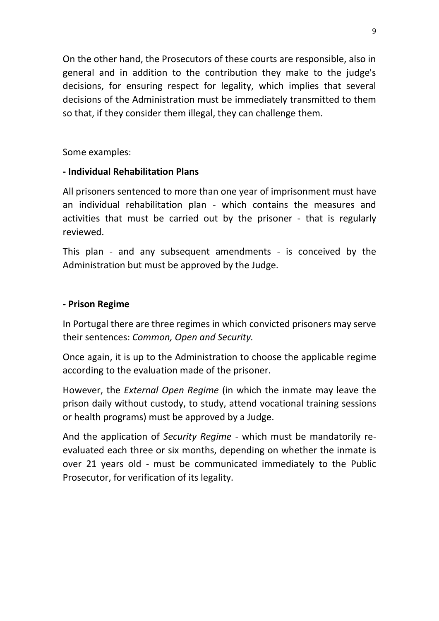On the other hand, the Prosecutors of these courts are responsible, also in general and in addition to the contribution they make to the judge's decisions, for ensuring respect for legality, which implies that several decisions of the Administration must be immediately transmitted to them so that, if they consider them illegal, they can challenge them.

Some examples:

# **- Individual Rehabilitation Plans**

All prisoners sentenced to more than one year of imprisonment must have an individual rehabilitation plan - which contains the measures and activities that must be carried out by the prisoner - that is regularly reviewed.

This plan - and any subsequent amendments - is conceived by the Administration but must be approved by the Judge.

### **- Prison Regime**

In Portugal there are three regimes in which convicted prisoners may serve their sentences: *Common, Open and Security.*

Once again, it is up to the Administration to choose the applicable regime according to the evaluation made of the prisoner.

However, the *External Open Regime* (in which the inmate may leave the prison daily without custody, to study, attend vocational training sessions or health programs) must be approved by a Judge.

And the application of *Security Regime* - which must be mandatorily reevaluated each three or six months, depending on whether the inmate is over 21 years old - must be communicated immediately to the Public Prosecutor, for verification of its legality.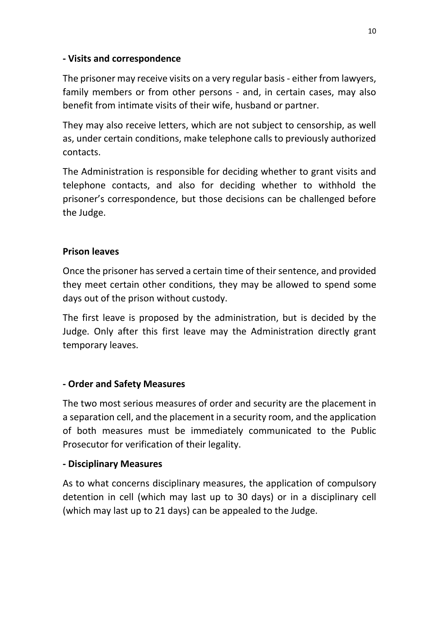### **- Visits and correspondence**

The prisoner may receive visits on a very regular basis - either from lawyers, family members or from other persons - and, in certain cases, may also benefit from intimate visits of their wife, husband or partner.

They may also receive letters, which are not subject to censorship, as well as, under certain conditions, make telephone calls to previously authorized contacts.

The Administration is responsible for deciding whether to grant visits and telephone contacts, and also for deciding whether to withhold the prisoner's correspondence, but those decisions can be challenged before the Judge.

### **Prison leaves**

Once the prisoner has served a certain time of their sentence, and provided they meet certain other conditions, they may be allowed to spend some days out of the prison without custody.

The first leave is proposed by the administration, but is decided by the Judge. Only after this first leave may the Administration directly grant temporary leaves.

# **- Order and Safety Measures**

The two most serious measures of order and security are the placement in a separation cell, and the placement in a security room, and the application of both measures must be immediately communicated to the Public Prosecutor for verification of their legality.

### **- Disciplinary Measures**

As to what concerns disciplinary measures, the application of compulsory detention in cell (which may last up to 30 days) or in a disciplinary cell (which may last up to 21 days) can be appealed to the Judge.